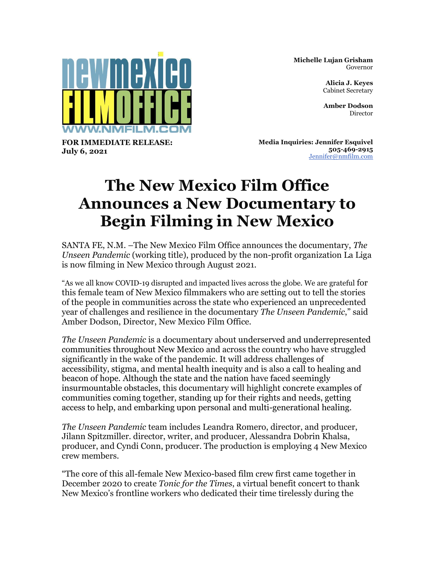

**Michelle Lujan Grisham** Governor

> **Alicia J. Keyes** Cabinet Secretary

**Amber Dodson** Director

**FOR IMMEDIATE RELEASE: July 6, 2021**

**Media Inquiries: Jennifer Esquivel 505-469-2915** [Jennifer@nmfilm.com](mailto:jennifer@nmfilm.com)

## **The New Mexico Film Office Announces a New Documentary to Begin Filming in New Mexico**

SANTA FE, N.M. –The New Mexico Film Office announces the documentary, *The Unseen Pandemic* (working title), produced by the non-profit organization La Liga is now filming in New Mexico through August 2021.

"As we all know COVID-19 disrupted and impacted lives across the globe. We are grateful for this female team of New Mexico filmmakers who are setting out to tell the stories of the people in communities across the state who experienced an unprecedented year of challenges and resilience in the documentary *The Unseen Pandemic*," said Amber Dodson, Director, New Mexico Film Office.

*The Unseen Pandemic* is a documentary about underserved and underrepresented communities throughout New Mexico and across the country who have struggled significantly in the wake of the pandemic. It will address challenges of accessibility, stigma, and mental health inequity and is also a call to healing and beacon of hope. Although the state and the nation have faced seemingly insurmountable obstacles, this documentary will highlight concrete examples of communities coming together, standing up for their rights and needs, getting access to help, and embarking upon personal and multi-generational healing.

*The Unseen Pandemic* team includes Leandra Romero, director, and producer, Jilann Spitzmiller. director, writer, and producer, Alessandra Dobrin Khalsa, producer, and Cyndi Conn, producer. The production is employing 4 New Mexico crew members.

"The core of this all-female New Mexico-based film crew first came together in December 2020 to create *Tonic for the Times*, a virtual benefit concert to thank New Mexico's frontline workers who dedicated their time tirelessly during the